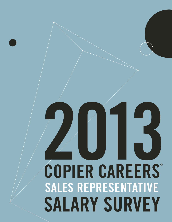# 2013 **COPIER CAREERS® SALES REPRESENTATIVE SALARY SURVEY**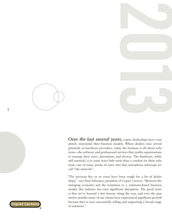

*Over the last several years,* copier dealerships have completely reinvented their business models. Where dealers once served primarily as hardware providers, today the business is all about solutions—the software and professional services that enable organizations to manage their users, documents, and devices. The hardware, while still essential, is in some ways little more than a conduit for these solutions, one of many points of entry into that amorphous infoscape we call "the network".

"The previous five or so years have been rough for a lot of dealerships," says Paul Schwartz, president of Copier Careers. "Between the slumping economy and the transition to a solutions-based business model, this industry has seen significant disruption. The good news is that we've learned a few lessons along the way, and over the past twelve months many of our clients have experienced significant growth because they're now successfully selling and supporting a broad range of solutions."



**1**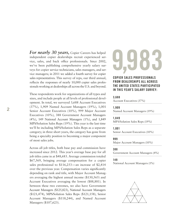*For nearly 30 years,* Copier Careers has helped independent copier dealerships recruit experienced service, sales, and back office professionals. Since 2002, we've been publishing comprehensive yearly salary surveys for copier service technicians, sales managers, and service managers; in 2011 we added a fourth survey for copier sales representatives. This survey of reps, our third annual, reflects the responses of nearly 10,000 copier sales professionals working at dealerships all across the U.S. and beyond.

These respondents work for organizations of all types and sizes, and include people at all levels of professional development. In total, we surveyed 3,688 Account Executives (37%), 1,909 Named Account Managers (19%), 1,001 Senior Account Executives (10%), 999 Major Account Executives (10%), 388 Government Account Managers (4%), 149 National Account Managers (1%), and 1,849 MPS/Solution Sales Reps (19%). This year is the last time we'll be including MPS/Solution Sales Reps as a separate category; in three short years, the category has gone from being a specialty position to becoming a major component of most sales jobs.

Across all job titles, both base pay and commission have increased since 2012. This year's average base pay for all job titles came in at \$48,683. Average commission totaled \$67,569, bringing average compensation for a copier sales professional to \$116,253—an increase of \$2,414 over the previous year. Compensation varies significantly depending on rank and title, with Major Account Managers averaging the highest annual income (\$130,565) and Account Executives averaging the lowest (\$88,881). In between these two extremes, we also have Government Account Managers (\$125,823), National Account Managers (\$121,474), MPS/Solution Sales Reps (\$121,158), Senior Account Managers (\$118,244), and Named Account Managers (\$107,623).

# **9,983**

### **COPIER SALES PROFESSIONALS FROM DEALERSHIPS ALL ACROSS THE UNITED STATES PARTICIPATED IN THIS YEAR'S SALARY SURVEY:**

#### **3,688**

Account Executives (37%)

**1,909** Named Account Managers (19%)

**1,849** MPS/Solution Sales Reps (19%)

**1,001**

Senior Account Executives (10%)

**999** Major Account Managers (10%)

#### **388**

Government Account Managers (4%)

#### **149**

National Account Managers (1%)

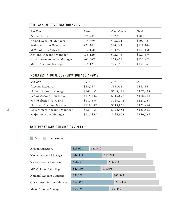## **TOTAL ANNUAL COMPENSATION / 2013**

| Job Title                  | Base     | Commission | Total     |
|----------------------------|----------|------------|-----------|
| <b>Account Executive</b>   | \$25,901 | \$62,980   | \$88,881  |
| Named Account Manager      | \$44,399 | \$63,224   | \$107,623 |
| Senior Account Executive   | \$51,701 | \$66,543   | \$118,244 |
| MPS/Solution Sales Rep     | \$42,160 | \$78,998   | \$121,158 |
| National Account Manager   | \$59,129 | \$62,345   | \$121,474 |
| Government Account Manager | \$62,367 | \$63,456   | \$125,823 |
| Major Account Manager      | \$55,125 | \$75,440   | \$130,565 |

# **INCREASES IN TOTAL COMPENSATION / 2011–2013**

| Job Title                  | 2011      | 2012      | 2013      |
|----------------------------|-----------|-----------|-----------|
| <b>Account Executive</b>   | \$83,757  | \$85,931  | \$88,881  |
| Named Account Manager      | \$103,969 | \$105,579 | \$107,623 |
| Senior Account Executive   | \$115,442 | \$115,897 | \$118,244 |
| MPS/Solution Sales Rep     | \$117,634 | \$120,242 | \$121,158 |
| National Account Manager   | \$118,887 | \$119,866 | \$121,474 |
| Government Account Manager | \$121,765 | \$122,454 | \$125,823 |
| Major Account Manager      | \$125,335 | \$126,906 | \$130,565 |

# **BASE PAY VERSUS COMMISSION / 2013**

Base Commission

| Account Executive          | \$25,901             | \$62,980 |          |  |
|----------------------------|----------------------|----------|----------|--|
| Named Account Manager      | \$44,399<br>\$63,224 |          |          |  |
| Senior Account Executive   | \$51,701             |          | \$66,543 |  |
| MPS/Solution Sales Rep     | \$42,160             | \$78,998 |          |  |
| National Account Manager   | \$59,129             |          | \$62,345 |  |
| Government Account Manager | \$62,367             |          | \$63,456 |  |
| Major Account Manager      | \$55,125             |          | \$75,440 |  |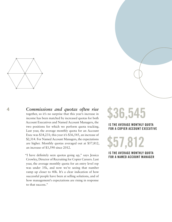

**4** *Commissions and quotas often rise*  together, so it's no surprise that this year's increase in income has been matched by increased quotas for both Account Executives and Named Account Managers, the two positions for which we perform quota tracking. Last year, the average monthly quota for an Account Exec was \$34,231; this year it's \$36,545, an increase of \$2,314. For Named Account Managers, the expectations are higher. Monthly quotas averaged out at \$57,812, an increase of \$3,590 since 2012.

> "I have definitely seen quotas going up," says Jessica Crowley, Director of Recruiting for Copier Careers. Last year, the average monthly quota for an entry level rep was under 35k, and now we're seeing that number ramp up closer to 40k. It's a clear indication of how successful people have been at selling solutions, and of how management's expectations are rising in response to that success."

# **\$36,545**

### **IS THE AVERAGE MONTHLY QUOTA FOR A COPIER ACCOUNT EXECUTIVE**

**\$57,812**

**IS THE AVERAGE MONTHLY QUOTA FOR A NAMED ACCOUNT MANAGER**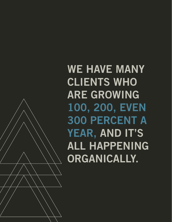**WE HAVE MANY CLIENTS WHO ARE GROWING 100, 200, EVEN 300 PERCENT A YEAR, AND IT'S ALL HAPPENING ORGANICALLY.**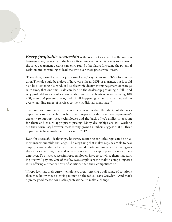**Every profitable dealership** is the result of successful collaboration between sales, service, and the back office; however, when it comes to solutions, the sales department deserves an extra round of applause for seeing the potential early on and continuing to lead the way over these past several years.

"These days, a small sale isn't just a small sale," says Schwartz. "It's a foot in the door. The sale could be a piece of hardware like an MFP or a printer, but it could also be a less tangible product like electronic document management or storage. With time, that one small sale can lead to the dealership providing a full—and very profitable—array of solutions. We have many clients who are growing 100, 200, even 300 percent a year, and it's all happening organically as they sell an ever-expanding range of services to their traditional client base."

One common issue we've seen in recent years is that the ability of the sales department to push solutions has often outpaced both the service department's capacity to support these technologies and the back office's ability to account for them and ensure appropriate pricing. Many dealerships are still working out their formulas; however, these strong growth numbers suggest that all three departments have made big strides since 2012.

Even for successful dealerships, however, recruiting top sales reps can be an almost insurmountable challenge. The very thing that makes reps desirable to new employers—the ability to consistently exceed quota and make a great living—is the exact same thing that makes reps reluctant to accept a position with a new employer. To attract successful reps, employers have to convince them that starting over will pay off. One of the few ways employers can make a compelling case is by offering a broader array of solutions than their competitors do.

"If reps feel that their current employers aren't offering a full range of solutions, then they know they're leaving money on the table," says Crowley. "And that's a pretty good reason for a sales professional to make a change."